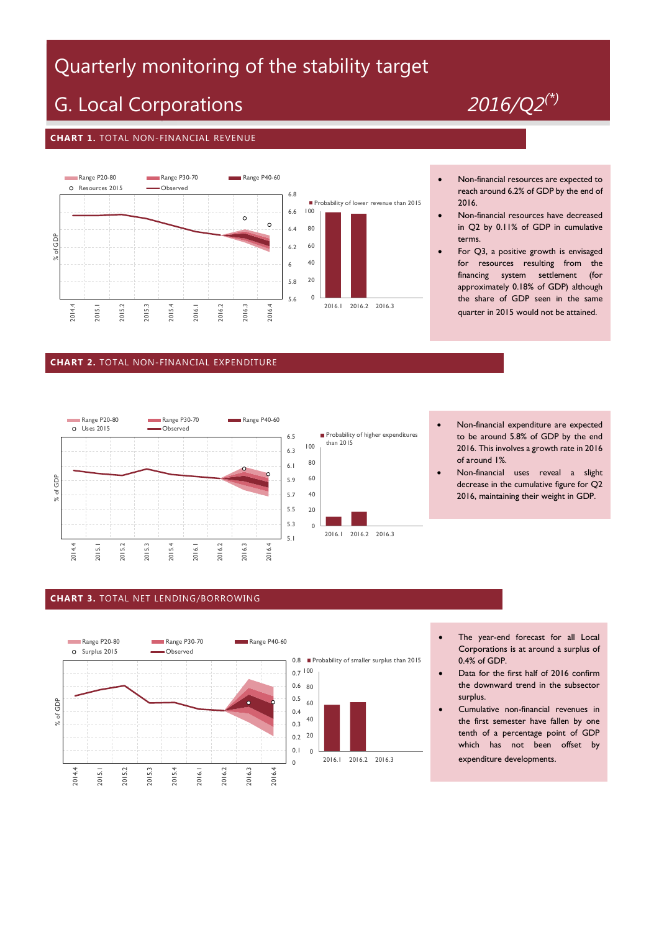## Quarterly monitoring of the stability target

# G. Local Corporations *2016/Q2(\*)*

#### **CHART 1.** TOTAL NON-FINANCIAL REVENUE



#### **CHART 2.** TOTAL NON-FINANCIAL EXPENDITURE





- Non-financial resources are expected to reach around 6.2% of GDP by the end of 2016.
- Non-financial resources have decreased in Q2 by 0.11% of GDP in cumulative terms.
- For Q3, a positive growth is envisaged for resources resulting from the financing system settlement (for approximately 0.18% of GDP) although the share of GDP seen in the same quarter in 2015 would not be attained.

- Non-financial expenditure are expected to be around 5.8% of GDP by the end 2016. This involves a growth rate in 2016 of around 1%.
- Non-financial uses reveal a slight decrease in the cumulative figure for Q2 2016, maintaining their weight in GDP.

### **CHART 3.** TOTAL NET LENDING/BORROWING



- The year-end forecast for all Local Corporations is at around a surplus of 0.4% of GDP.
- Data for the first half of 2016 confirm the downward trend in the subsector surplus.
- Cumulative non-financial revenues in the first semester have fallen by one tenth of a percentage point of GDP which has not been offset by expenditure developments.